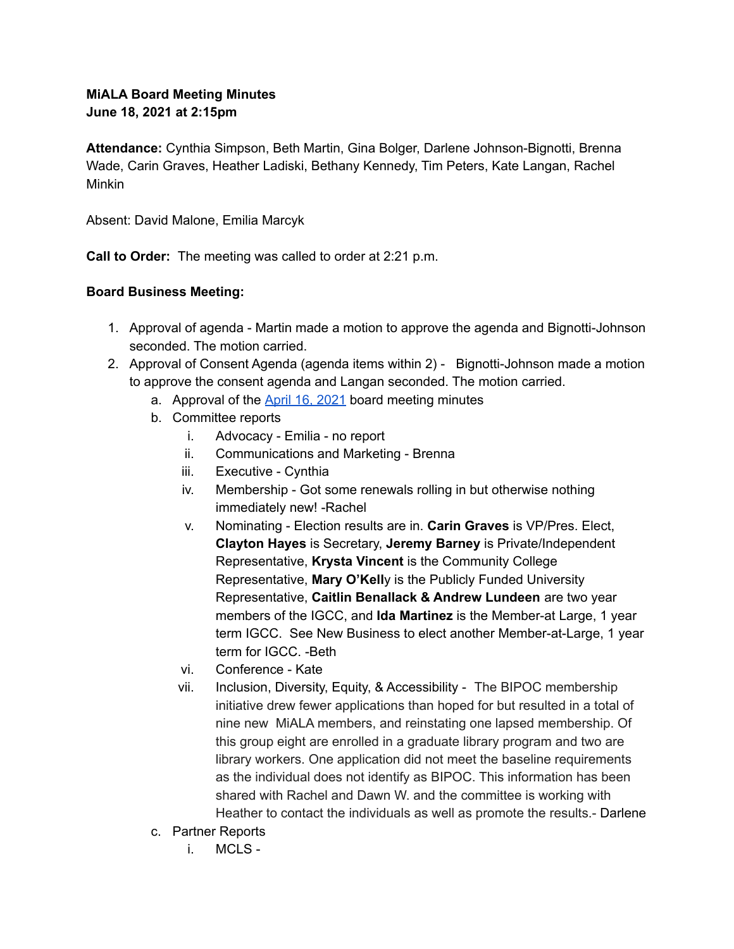## **MiALA Board Meeting Minutes June 18, 2021 at 2:15pm**

**Attendance:** Cynthia Simpson, Beth Martin, Gina Bolger, Darlene Johnson-Bignotti, Brenna Wade, Carin Graves, Heather Ladiski, Bethany Kennedy, Tim Peters, Kate Langan, Rachel Minkin

Absent: David Malone, Emilia Marcyk

**Call to Order:** The meeting was called to order at 2:21 p.m.

## **Board Business Meeting:**

- 1. Approval of agenda Martin made a motion to approve the agenda and Bignotti-Johnson seconded. The motion carried.
- 2. Approval of Consent Agenda (agenda items within 2) Bignotti-Johnson made a motion to approve the consent agenda and Langan seconded. The motion carried.
	- a. Approval of the **April 16, [2021](https://docs.google.com/document/u/0/d/1LX4WF9-LwvWRySS-u2Rnym_K8CZiqxhqtf36ZILMnTc/edit)** board meeting minutes
	- b. Committee reports
		- i. Advocacy Emilia no report
		- ii. Communications and Marketing Brenna
		- iii. Executive Cynthia
		- iv. Membership Got some renewals rolling in but otherwise nothing immediately new! -Rachel
		- v. Nominating Election results are in. **Carin Graves** is VP/Pres. Elect, **Clayton Hayes** is Secretary, **Jeremy Barney** is Private/Independent Representative, **Krysta Vincent** is the Community College Representative, **Mary O'Kell**y is the Publicly Funded University Representative, **Caitlin Benallack & Andrew Lundeen** are two year members of the IGCC, and **Ida Martinez** is the Member-at Large, 1 year term IGCC. See New Business to elect another Member-at-Large, 1 year term for IGCC. -Beth
		- vi. Conference Kate
		- vii. Inclusion, Diversity, Equity, & Accessibility The BIPOC membership initiative drew fewer applications than hoped for but resulted in a total of nine new MiALA members, and reinstating one lapsed membership. Of this group eight are enrolled in a graduate library program and two are library workers. One application did not meet the baseline requirements as the individual does not identify as BIPOC. This information has been shared with Rachel and Dawn W. and the committee is working with Heather to contact the individuals as well as promote the results.- Darlene
	- c. Partner Reports
		- i. MCLS -